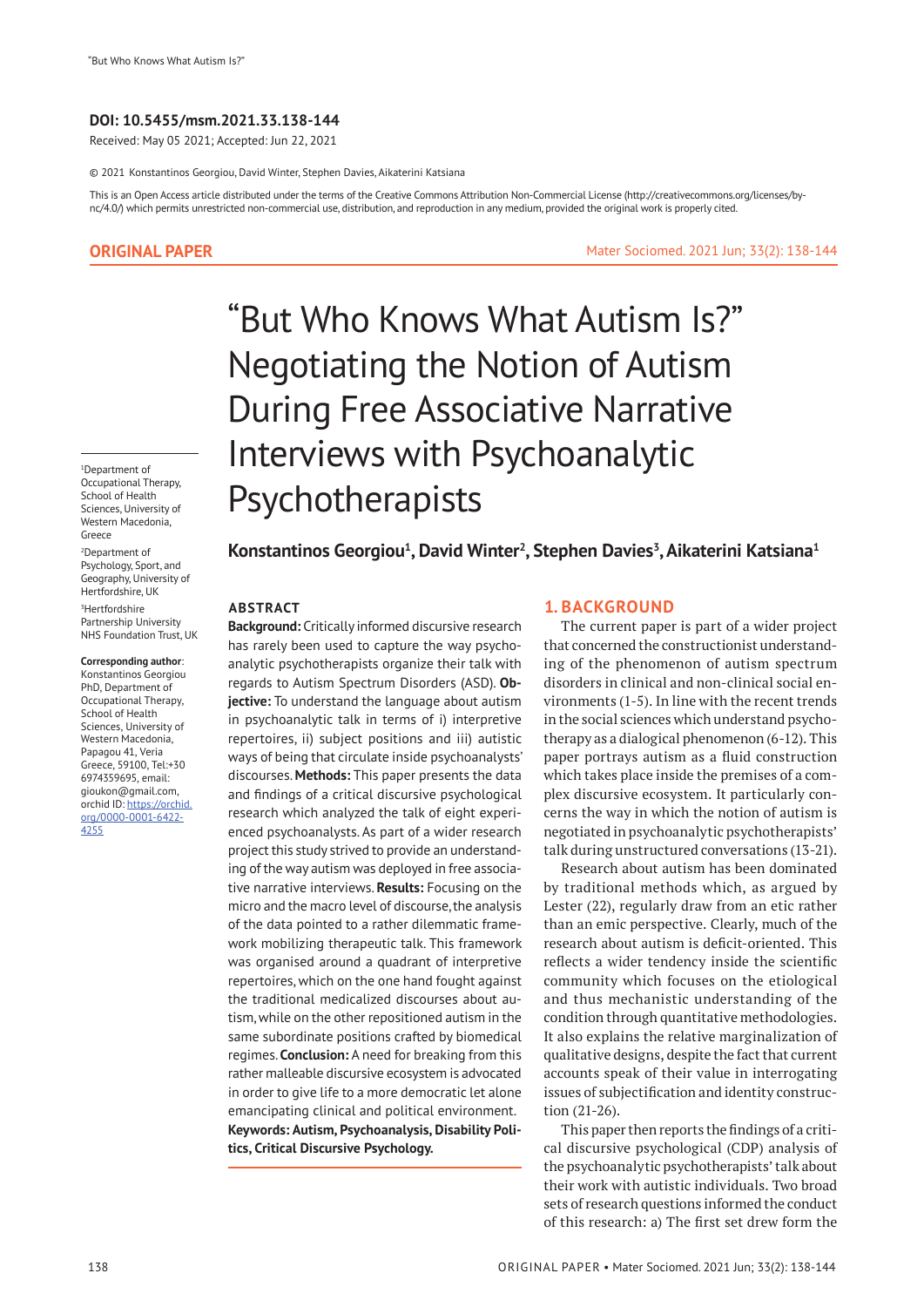### **DOI: 10.5455/msm.2021.33.138-144**

Received: May 05 2021; Accepted: Jun 22, 2021

© 2021 Konstantinos Georgiou, David Winter, Stephen Davies, Aikaterini Katsiana

This is an Open Access article distributed under the terms of the Creative Commons Attribution Non-Commercial License (http://creativecommons.org/licenses/bync/4.0/) which permits unrestricted non-commercial use, distribution, and reproduction in any medium, provided the original work is properly cited.

## **ORIGINAL PAPER**

1 Department of Occupational Therapy, School of Health Sciences, University of Western Macedonia, Greece 2 Department of Psychology, Sport, and

Geography, University of Hertfordshire, UK 3 Hertfordshire Partnership University NHS Foundation Trust, UK

#### **Corresponding author**:

Konstantinos Georgiou PhD, Department of Occupational Therapy, School of Health Sciences, University of Western Macedonia, Papagou 41, Veria Greece, 59100, Tel:+30 6974359695, email: gioukon@gmail.com, orchid ID: https://orchid. org/0000-0001-6422- 4255

# "But Who Knows What Autism Is?" Negotiating the Notion of Autism During Free Associative Narrative Interviews with Psychoanalytic Psychotherapists

**Konstantinos Georgiou1 , David Winter2 , Stephen Davies3 , Aikaterini Katsiana1**

#### **ABSTRACT**

**Background:** Critically informed discursive research has rarely been used to capture the way psychoanalytic psychotherapists organize their talk with regards to Autism Spectrum Disorders (ASD). **Objective:** To understand the language about autism in psychoanalytic talk in terms of i) interpretive repertoires, ii) subject positions and iii) autistic ways of being that circulate inside psychoanalysts' discourses. **Methods:** This paper presents the data and findings of a critical discursive psychological research which analyzed the talk of eight experienced psychoanalysts. As part of a wider research project this study strived to provide an understanding of the way autism was deployed in free associative narrative interviews. **Results:** Focusing on the micro and the macro level of discourse, the analysis of the data pointed to a rather dilemmatic framework mobilizing therapeutic talk. This framework was organised around a quadrant of interpretive repertoires, which on the one hand fought against the traditional medicalized discourses about autism, while on the other repositioned autism in the same subordinate positions crafted by biomedical regimes. **Conclusion:** A need for breaking from this rather malleable discursive ecosystem is advocated in order to give life to a more democratic let alone emancipating clinical and political environment. **Keywords: Autism, Psychoanalysis, Disability Politics, Critical Discursive Psychology.**

## **1. BACKGROUND**

The current paper is part of a wider project that concerned the constructionist understanding of the phenomenon of autism spectrum disorders in clinical and non-clinical social environments (1-5). In line with the recent trends in the social sciences which understand psychotherapy as a dialogical phenomenon (6-12). This paper portrays autism as a fluid construction which takes place inside the premises of a complex discursive ecosystem. It particularly concerns the way in which the notion of autism is negotiated in psychoanalytic psychotherapists' talk during unstructured conversations (13-21).

Mater Sociomed. 2021 Jun; 33(2): 138-144

Research about autism has been dominated by traditional methods which, as argued by Lester (22), regularly draw from an etic rather than an emic perspective. Clearly, much of the research about autism is deficit-oriented. This reflects a wider tendency inside the scientific community which focuses on the etiological and thus mechanistic understanding of the condition through quantitative methodologies. It also explains the relative marginalization of qualitative designs, despite the fact that current accounts speak of their value in interrogating issues of subjectification and identity construction (21-26).

This paper then reports the findings of a critical discursive psychological (CDP) analysis of the psychoanalytic psychotherapists' talk about their work with autistic individuals. Two broad sets of research questions informed the conduct of this research: a) The first set drew form the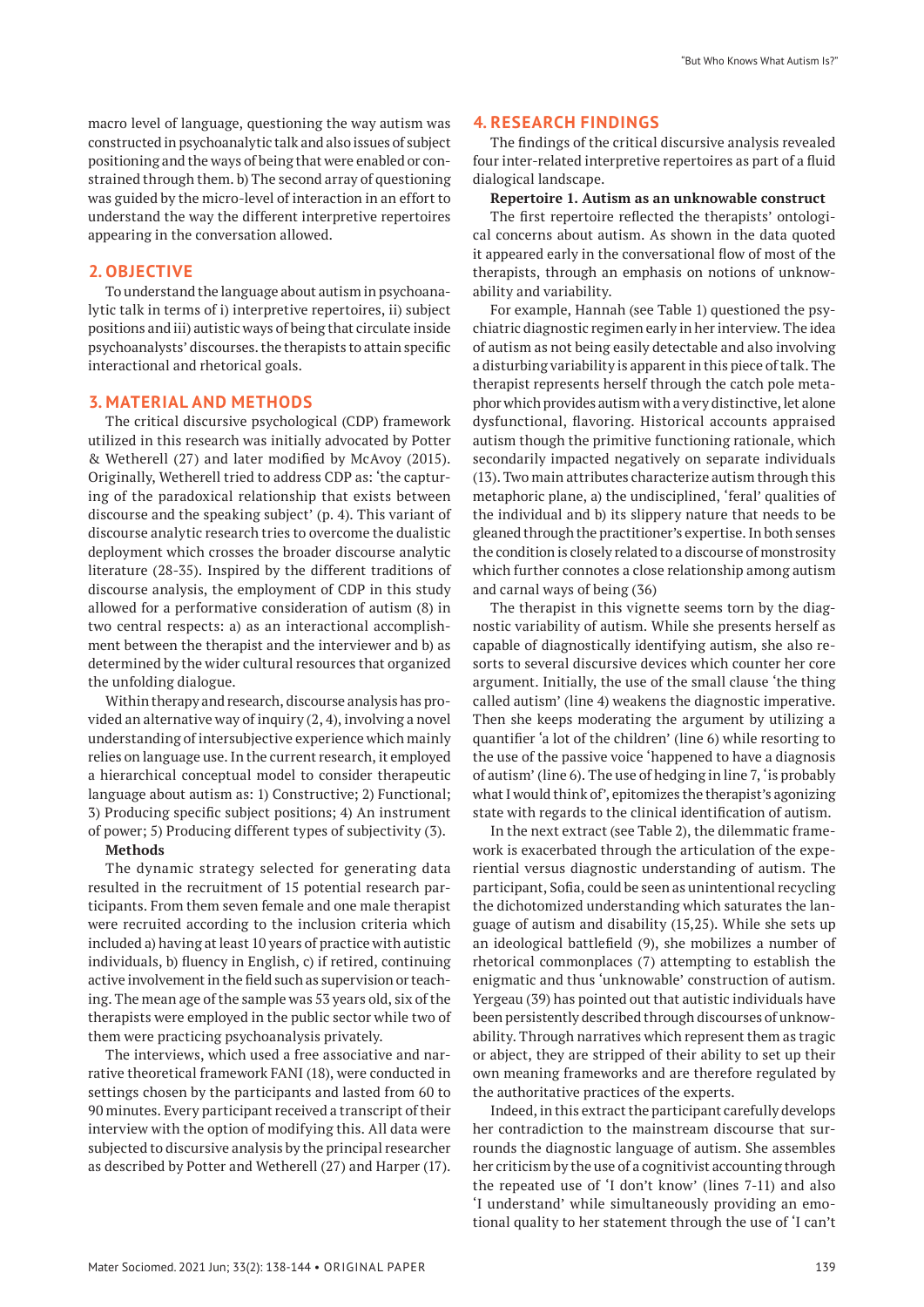macro level of language, questioning the way autism was constructed in psychoanalytic talk and also issues of subject positioning and the ways of being that were enabled or constrained through them. b) The second array of questioning was guided by the micro-level of interaction in an effort to understand the way the different interpretive repertoires appearing in the conversation allowed.

# **2. OBJECTIVE**

To understand the language about autism in psychoanalytic talk in terms of i) interpretive repertoires, ii) subject positions and iii) autistic ways of being that circulate inside psychoanalysts' discourses. the therapists to attain specific interactional and rhetorical goals.

# **3. MATERIAL AND METHODS**

The critical discursive psychological (CDP) framework utilized in this research was initially advocated by Potter & Wetherell (27) and later modified by McAvoy (2015). Originally, Wetherell tried to address CDP as: 'the capturing of the paradoxical relationship that exists between discourse and the speaking subject' (p. 4). This variant of discourse analytic research tries to overcome the dualistic deployment which crosses the broader discourse analytic literature (28-35). Inspired by the different traditions of discourse analysis, the employment of CDP in this study allowed for a performative consideration of autism (8) in two central respects: a) as an interactional accomplishment between the therapist and the interviewer and b) as determined by the wider cultural resources that organized the unfolding dialogue.

Within therapy and research, discourse analysis has provided an alternative way of inquiry (2, 4), involving a novel understanding of intersubjective experience which mainly relies on language use. In the current research, it employed a hierarchical conceptual model to consider therapeutic language about autism as: 1) Constructive; 2) Functional; 3) Producing specific subject positions; 4) An instrument of power; 5) Producing different types of subjectivity (3).

#### **Methods**

The dynamic strategy selected for generating data resulted in the recruitment of 15 potential research participants. From them seven female and one male therapist were recruited according to the inclusion criteria which included a) having at least 10 years of practice with autistic individuals, b) fluency in English, c) if retired, continuing active involvement in the field such as supervision or teaching. The mean age of the sample was 53 years old, six of the therapists were employed in the public sector while two of them were practicing psychoanalysis privately.

The interviews, which used a free associative and narrative theoretical framework FANI (18), were conducted in settings chosen by the participants and lasted from 60 to 90 minutes. Every participant received a transcript of their interview with the option of modifying this. All data were subjected to discursive analysis by the principal researcher as described by Potter and Wetherell (27) and Harper (17).

# **4. RESEARCH FINDINGS**

The findings of the critical discursive analysis revealed four inter-related interpretive repertoires as part of a fluid dialogical landscape.

#### **Repertoire 1. Autism as an unknowable construct**

The first repertoire reflected the therapists' ontological concerns about autism. As shown in the data quoted it appeared early in the conversational flow of most of the therapists, through an emphasis on notions of unknowability and variability.

For example, Hannah (see Table 1) questioned the psychiatric diagnostic regimen early in her interview. The idea of autism as not being easily detectable and also involving a disturbing variability is apparent in this piece of talk. The therapist represents herself through the catch pole metaphor which provides autism with a very distinctive, let alone dysfunctional, flavoring. Historical accounts appraised autism though the primitive functioning rationale, which secondarily impacted negatively on separate individuals (13). Two main attributes characterize autism through this metaphoric plane, a) the undisciplined, 'feral' qualities of the individual and b) its slippery nature that needs to be gleaned through the practitioner's expertise. In both senses the condition is closely related to a discourse of monstrosity which further connotes a close relationship among autism and carnal ways of being (36)

The therapist in this vignette seems torn by the diagnostic variability of autism. While she presents herself as capable of diagnostically identifying autism, she also resorts to several discursive devices which counter her core argument. Initially, the use of the small clause 'the thing called autism' (line 4) weakens the diagnostic imperative. Then she keeps moderating the argument by utilizing a quantifier 'a lot of the children' (line 6) while resorting to the use of the passive voice 'happened to have a diagnosis of autism' (line 6). The use of hedging in line 7, 'is probably what I would think of', epitomizes the therapist's agonizing state with regards to the clinical identification of autism.

In the next extract (see Table 2), the dilemmatic framework is exacerbated through the articulation of the experiential versus diagnostic understanding of autism. The participant, Sofia, could be seen as unintentional recycling the dichotomized understanding which saturates the language of autism and disability (15,25). While she sets up an ideological battlefield (9), she mobilizes a number of rhetorical commonplaces (7) attempting to establish the enigmatic and thus 'unknowable' construction of autism. Yergeau (39) has pointed out that autistic individuals have been persistently described through discourses of unknowability. Through narratives which represent them as tragic or abject, they are stripped of their ability to set up their own meaning frameworks and are therefore regulated by the authoritative practices of the experts.

Indeed, in this extract the participant carefully develops her contradiction to the mainstream discourse that surrounds the diagnostic language of autism. She assembles her criticism by the use of a cognitivist accounting through the repeated use of 'I don't know' (lines 7-11) and also 'I understand' while simultaneously providing an emotional quality to her statement through the use of 'I can't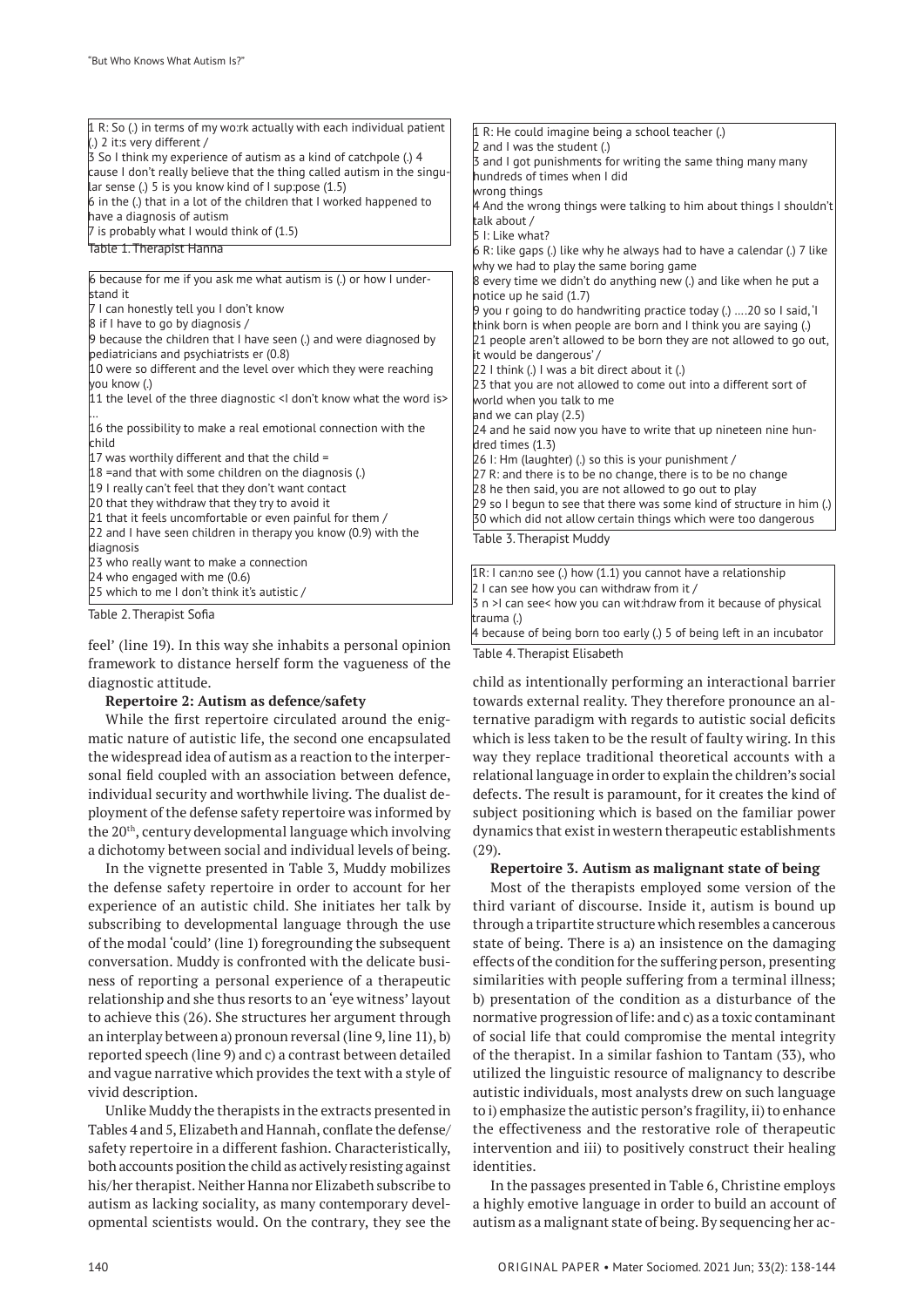| 1 R: So (.) in terms of my wo:rk actually with each individual patient<br>(.) 2 it:s very different /<br>3 So I think my experience of autism as a kind of catchpole (.) 4<br>cause I don't really believe that the thing called autism in the singu-<br>lar sense (.) 5 is you know kind of I sup:pose $(1.5)$<br>6 in the (.) that in a lot of the children that I worked happened to<br>have a diagnosis of autism<br>7 is probably what I would think of (1.5)<br>Table 1. Therapist Hanna | $\vert 1 \vert$ R: He could imagine being a school teacher (.)<br>$\vert$ 2 and I was the student (.)<br>3 and I got punishments for writing the same thing many many<br>hundreds of times when I did<br>wrong things<br>4 And the wrong things were talking to him about things I shouldn't<br>talk about /<br>5 I: Like what?<br>6 R: like gaps (.) like why he always had to have a calendar (.) 7 like<br>why we had to play the same boring game |
|------------------------------------------------------------------------------------------------------------------------------------------------------------------------------------------------------------------------------------------------------------------------------------------------------------------------------------------------------------------------------------------------------------------------------------------------------------------------------------------------|-------------------------------------------------------------------------------------------------------------------------------------------------------------------------------------------------------------------------------------------------------------------------------------------------------------------------------------------------------------------------------------------------------------------------------------------------------|
| 6 because for me if you ask me what autism is (.) or how I under-                                                                                                                                                                                                                                                                                                                                                                                                                              | 8 every time we didn't do anything new (.) and like when he put a                                                                                                                                                                                                                                                                                                                                                                                     |
| stand it                                                                                                                                                                                                                                                                                                                                                                                                                                                                                       | notice up he said $(1.7)$                                                                                                                                                                                                                                                                                                                                                                                                                             |
| 7 I can honestly tell you I don't know                                                                                                                                                                                                                                                                                                                                                                                                                                                         | 9 you r going to do handwriting practice today (.) $\dots$ 20 so I said, I                                                                                                                                                                                                                                                                                                                                                                            |
| 8 if I have to go by diagnosis /                                                                                                                                                                                                                                                                                                                                                                                                                                                               | think born is when people are born and I think you are saying (.)                                                                                                                                                                                                                                                                                                                                                                                     |
| 9 because the children that I have seen (.) and were diagnosed by                                                                                                                                                                                                                                                                                                                                                                                                                              | 21 people aren't allowed to be born they are not allowed to go out,                                                                                                                                                                                                                                                                                                                                                                                   |
| pediatricians and psychiatrists er (0.8)                                                                                                                                                                                                                                                                                                                                                                                                                                                       | it would be dangerous'/                                                                                                                                                                                                                                                                                                                                                                                                                               |
| 10 were so different and the level over which they were reaching                                                                                                                                                                                                                                                                                                                                                                                                                               | [22   think (.) I was a bit direct about it (.)                                                                                                                                                                                                                                                                                                                                                                                                       |
| vou know (.)                                                                                                                                                                                                                                                                                                                                                                                                                                                                                   | 23 that you are not allowed to come out into a different sort of                                                                                                                                                                                                                                                                                                                                                                                      |
| 11 the level of the three diagnostic <i don't="" is="" know="" the="" what="" word=""></i>                                                                                                                                                                                                                                                                                                                                                                                                     | world when you talk to me                                                                                                                                                                                                                                                                                                                                                                                                                             |
|                                                                                                                                                                                                                                                                                                                                                                                                                                                                                                | and we can play $(2.5)$                                                                                                                                                                                                                                                                                                                                                                                                                               |
| 16 the possibility to make a real emotional connection with the                                                                                                                                                                                                                                                                                                                                                                                                                                | 24 and he said now you have to write that up nineteen nine hun-                                                                                                                                                                                                                                                                                                                                                                                       |
| child                                                                                                                                                                                                                                                                                                                                                                                                                                                                                          | dred times $(1.3)$                                                                                                                                                                                                                                                                                                                                                                                                                                    |
| 17 was worthily different and that the child $=$                                                                                                                                                                                                                                                                                                                                                                                                                                               | [26]: Hm (laughter) (.) so this is your punishment /                                                                                                                                                                                                                                                                                                                                                                                                  |
| $18$ = and that with some children on the diagnosis (.)                                                                                                                                                                                                                                                                                                                                                                                                                                        | 27 R: and there is to be no change, there is to be no change                                                                                                                                                                                                                                                                                                                                                                                          |
| 19 I really can't feel that they don't want contact                                                                                                                                                                                                                                                                                                                                                                                                                                            | 28 he then said, you are not allowed to go out to play                                                                                                                                                                                                                                                                                                                                                                                                |
| 20 that they withdraw that they try to avoid it                                                                                                                                                                                                                                                                                                                                                                                                                                                | [29 so I begun to see that there was some kind of structure in him (.)                                                                                                                                                                                                                                                                                                                                                                                |
| 21 that it feels uncomfortable or even painful for them /                                                                                                                                                                                                                                                                                                                                                                                                                                      | 30 which did not allow certain things which were too dangerous                                                                                                                                                                                                                                                                                                                                                                                        |
| 22 and I have seen children in therapy you know (0.9) with the<br>diagnosis                                                                                                                                                                                                                                                                                                                                                                                                                    | Table 3. Therapist Muddy                                                                                                                                                                                                                                                                                                                                                                                                                              |
| 23 who really want to make a connection                                                                                                                                                                                                                                                                                                                                                                                                                                                        |                                                                                                                                                                                                                                                                                                                                                                                                                                                       |
| 24 who engaged with me $(0.6)$                                                                                                                                                                                                                                                                                                                                                                                                                                                                 | $\vert$ 1R: I can:no see (.) how (1.1) you cannot have a relationship                                                                                                                                                                                                                                                                                                                                                                                 |
| 25 which to me I don't think it's autistic /                                                                                                                                                                                                                                                                                                                                                                                                                                                   | 2 I can see how you can withdraw from it /                                                                                                                                                                                                                                                                                                                                                                                                            |
|                                                                                                                                                                                                                                                                                                                                                                                                                                                                                                | 3 n >I can see< how you can wit: hdraw from it because of physical                                                                                                                                                                                                                                                                                                                                                                                    |
| Table 2. Therapist Sofia                                                                                                                                                                                                                                                                                                                                                                                                                                                                       | trauma (.)                                                                                                                                                                                                                                                                                                                                                                                                                                            |

feel' (line 19). In this way she inhabits a personal opinion framework to distance herself form the vagueness of the diagnostic attitude.

#### **Repertoire 2: Autism as defence/safety**

While the first repertoire circulated around the enigmatic nature of autistic life, the second one encapsulated the widespread idea of autism as a reaction to the interpersonal field coupled with an association between defence, individual security and worthwhile living. The dualist deployment of the defense safety repertoire was informed by the 20th, century developmental language which involving a dichotomy between social and individual levels of being.

In the vignette presented in Table 3, Muddy mobilizes the defense safety repertoire in order to account for her experience of an autistic child. She initiates her talk by subscribing to developmental language through the use of the modal 'could' (line 1) foregrounding the subsequent conversation. Muddy is confronted with the delicate business of reporting a personal experience of a therapeutic relationship and she thus resorts to an 'eye witness' layout to achieve this (26). She structures her argument through an interplay between a) pronoun reversal (line 9, line 11), b) reported speech (line 9) and c) a contrast between detailed and vague narrative which provides the text with a style of vivid description.

Unlike Muddy the therapists in the extracts presented in Tables 4 and 5, Elizabeth and Hannah, conflate the defense/ safety repertoire in a different fashion. Characteristically, both accounts position the child as actively resisting against his/her therapist. Neither Hanna nor Elizabeth subscribe to autism as lacking sociality, as many contemporary developmental scientists would. On the contrary, they see the child as intentionally performing an interactional barrier towards external reality. They therefore pronounce an alternative paradigm with regards to autistic social deficits which is less taken to be the result of faulty wiring. In this way they replace traditional theoretical accounts with a relational language in order to explain the children's social defects. The result is paramount, for it creates the kind of subject positioning which is based on the familiar power dynamics that exist in western therapeutic establishments (29).

4 because of being born too early (.) 5 of being left in an incubator

Table 4. Therapist Elisabeth

#### **Repertoire 3. Autism as malignant state of being**

Most of the therapists employed some version of the third variant of discourse. Inside it, autism is bound up through a tripartite structure which resembles a cancerous state of being. There is a) an insistence on the damaging effects of the condition for the suffering person, presenting similarities with people suffering from a terminal illness; b) presentation of the condition as a disturbance of the normative progression of life: and c) as a toxic contaminant of social life that could compromise the mental integrity of the therapist. In a similar fashion to Tantam (33), who utilized the linguistic resource of malignancy to describe autistic individuals, most analysts drew on such language to i) emphasize the autistic person's fragility, ii) to enhance the effectiveness and the restorative role of therapeutic intervention and iii) to positively construct their healing identities.

In the passages presented in Table 6, Christine employs a highly emotive language in order to build an account of autism as a malignant state of being. By sequencing her ac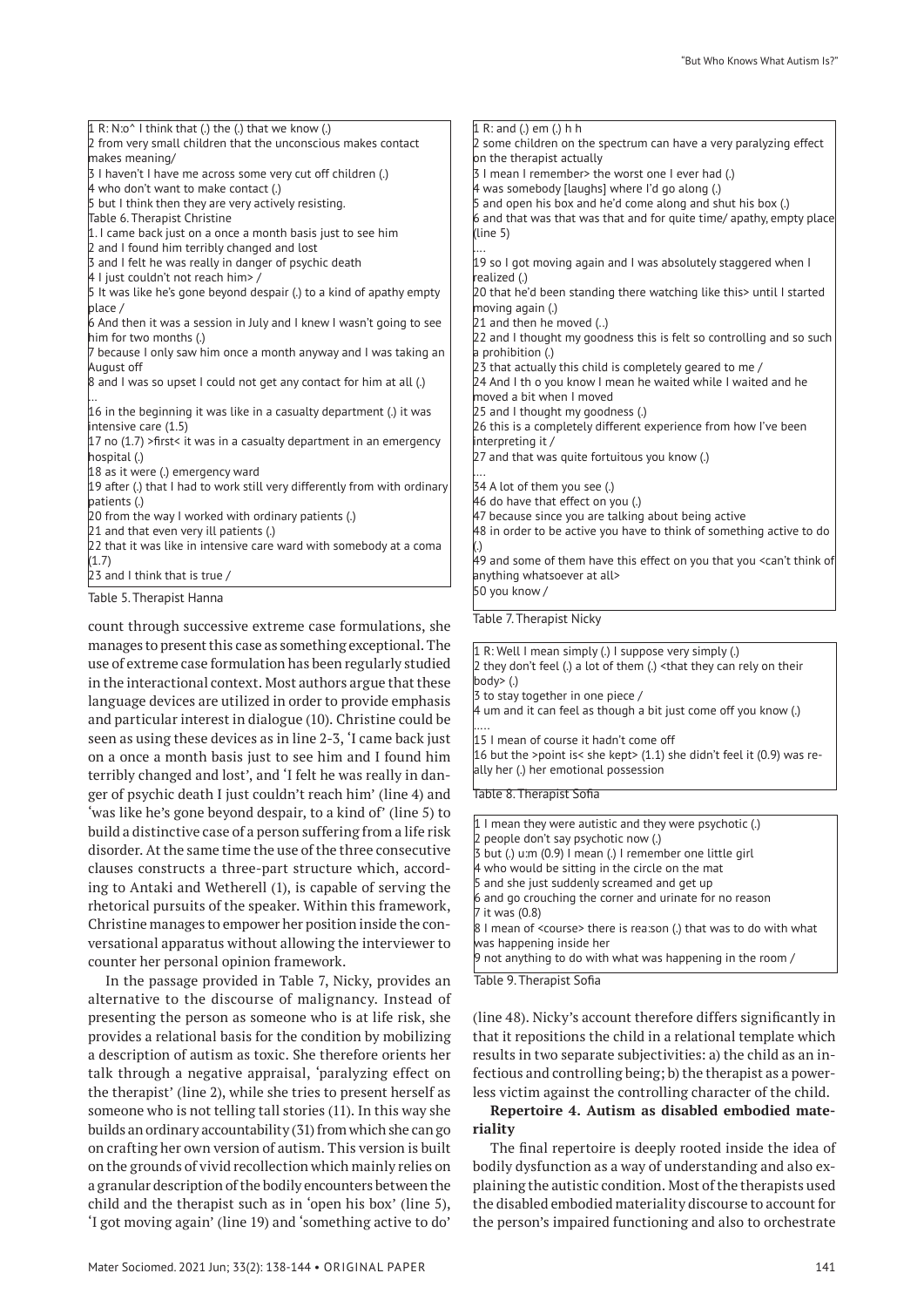$1 R: N:o^* I$  think that (.) the (.) that we know (.) 2 from very small children that the unconscious makes contact makes meaning/ 3 I haven't I have me across some very cut off children (.) 4 who don't want to make contact (.) 5 but I think then they are very actively resisting. Table 6. Therapist Christine 1. I came back just on a once a month basis just to see him 2 and I found him terribly changed and lost 3 and I felt he was really in danger of psychic death 4 I just couldn't not reach him> 5 It was like he's gone beyond despair (.) to a kind of apathy empty place / 6 And then it was a session in July and I knew I wasn't going to see him for two months (.) 7 because I only saw him once a month anyway and I was taking an August off 8 and I was so upset I could not get any contact for him at all (.) … 16 in the beginning it was like in a casualty department (.) it was intensive care (1.5)  $17$  no (1.7) >first< it was in a casualty department in an emergency hospital (.) 18 as it were (.) emergency ward 19 after (.) that I had to work still very differently from with ordinary patients (.) 20 from the way I worked with ordinary patients (.) 21 and that even very ill patients (.) 22 that it was like in intensive care ward with somebody at a coma  $(1.7)$ 23 and I think that is true / (line 5) …. …. (.)

Table 5. Therapist Hanna

count through successive extreme case formulations, she manages to present this case as something exceptional. The use of extreme case formulation has been regularly studied in the interactional context. Most authors argue that these language devices are utilized in order to provide emphasis and particular interest in dialogue (10). Christine could be seen as using these devices as in line 2-3, 'I came back just on a once a month basis just to see him and I found him terribly changed and lost', and 'I felt he was really in danger of psychic death I just couldn't reach him' (line 4) and 'was like he's gone beyond despair, to a kind of' (line 5) to build a distinctive case of a person suffering from a life risk disorder. At the same time the use of the three consecutive clauses constructs a three-part structure which, according to Antaki and Wetherell (1), is capable of serving the rhetorical pursuits of the speaker. Within this framework, Christine manages to empower her position inside the conversational apparatus without allowing the interviewer to counter her personal opinion framework.

In the passage provided in Table 7, Nicky, provides an alternative to the discourse of malignancy. Instead of presenting the person as someone who is at life risk, she provides a relational basis for the condition by mobilizing a description of autism as toxic. She therefore orients her talk through a negative appraisal, 'paralyzing effect on the therapist' (line 2), while she tries to present herself as someone who is not telling tall stories (11). In this way she builds an ordinary accountability (31) from which she can go on crafting her own version of autism. This version is built on the grounds of vivid recollection which mainly relies on a granular description of the bodily encounters between the child and the therapist such as in 'open his box' (line 5), 'I got moving again' (line 19) and 'something active to do'

1 R: and (.) em (.) h h 2 some children on the spectrum can have a very paralyzing effect on the therapist actually 3 I mean I remember> the worst one I ever had (.) 4 was somebody [laughs] where I'd go along (.)  $5$  and open his box and he'd come along and shut his box (.) 6 and that was that was that and for quite time/ apathy, empty place 19 so I got moving again and I was absolutely staggered when I realized (.) 20 that he'd been standing there watching like this> until I started moving again (.) 21 and then he moved (..)  $\vert$ 22 and I thought my goodness this is felt so controlling and so such a prohibition (.)  $\overline{23}$  that actually this child is completely geared to me / 24 And I th o you know I mean he waited while I waited and he moved a bit when I moved 25 and I thought my goodness (.) 26 this is a completely different experience from how I've been interpreting it / 27 and that was quite fortuitous you know (.) 34 A lot of them you see (.) 46 do have that effect on you (.) 47 because since you are talking about being active 48 in order to be active you have to think of something active to do 49 and some of them have this effect on you that you <can't think of anything whatsoever at all> 50 you know / Table 7. Therapist Nicky

1 R: Well I mean simply (.) I suppose very simply (.)  $2$  they don't feel (.) a lot of them (.) <that they can rely on their body> (.) 3 to stay together in one piece / 4 um and it can feel as though a bit just come off you know (.) ….. 15 I mean of course it hadn't come off 16 but the >point is< she kept>  $(1.1)$  she didn't feel it  $(0.9)$  was really her (.) her emotional possession Table 8. Therapist Sofia

1 I mean they were autistic and they were psychotic (.) people don't say psychotic now (.) 3 but (.) u:m (0.9) I mean (.) I remember one little girl 4 who would be sitting in the circle on the mat 5 and she just suddenly screamed and get up 6 and go crouching the corner and urinate for no reason 7 it was (0.8) 8 I mean of <course> there is rea:son (.) that was to do with what was happening inside her 9 not anything to do with what was happening in the room /

Table 9. Therapist Sofia

(line 48). Nicky's account therefore differs significantly in that it repositions the child in a relational template which results in two separate subjectivities: a) the child as an infectious and controlling being; b) the therapist as a powerless victim against the controlling character of the child.

# **Repertoire 4. Autism as disabled embodied materiality**

The final repertoire is deeply rooted inside the idea of bodily dysfunction as a way of understanding and also explaining the autistic condition. Most of the therapists used the disabled embodied materiality discourse to account for the person's impaired functioning and also to orchestrate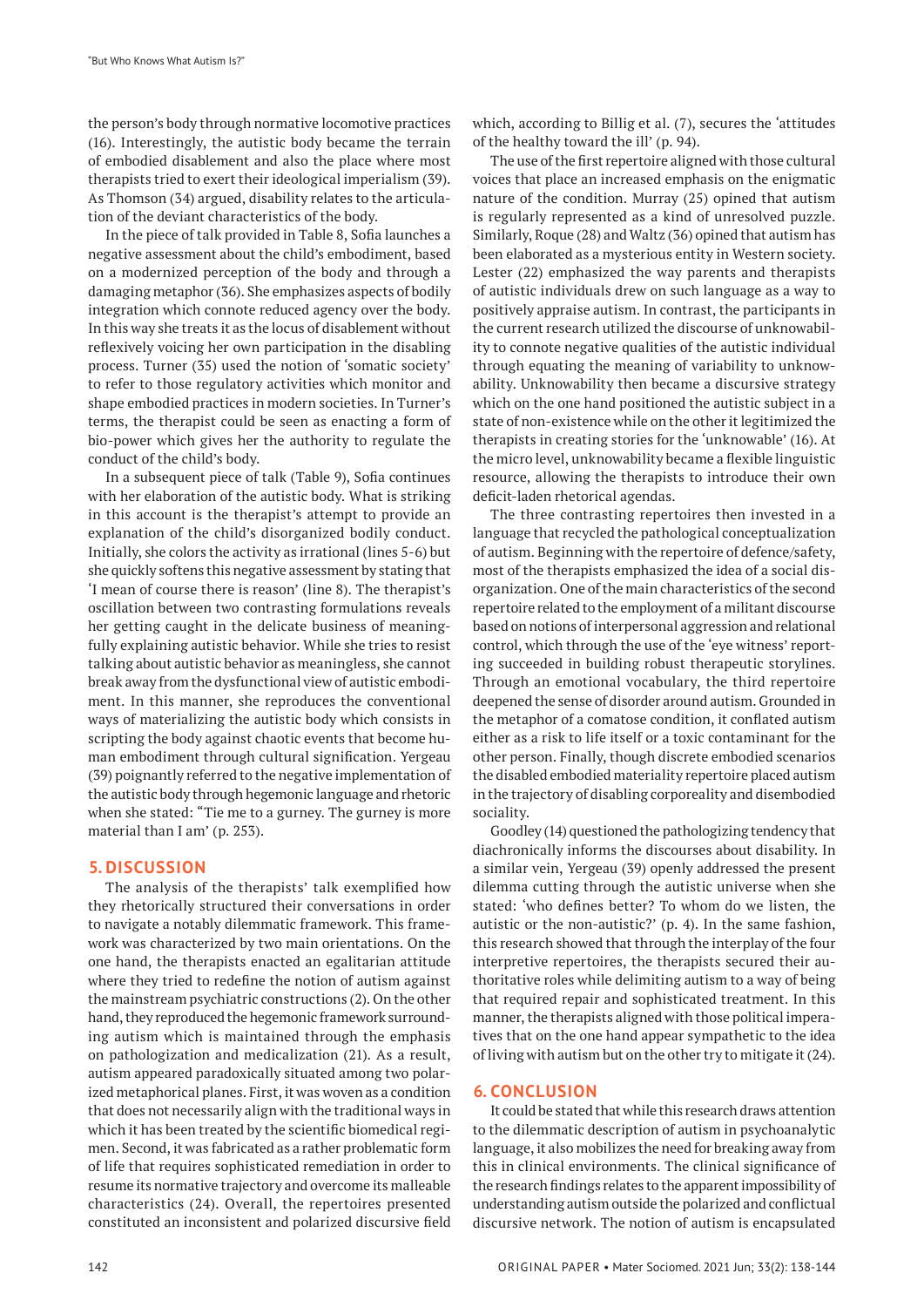the person's body through normative locomotive practices (16). Interestingly, the autistic body became the terrain of embodied disablement and also the place where most therapists tried to exert their ideological imperialism (39). As Thomson (34) argued, disability relates to the articulation of the deviant characteristics of the body.

In the piece of talk provided in Table 8, Sofia launches a negative assessment about the child's embodiment, based on a modernized perception of the body and through a damaging metaphor (36). She emphasizes aspects of bodily integration which connote reduced agency over the body. In this way she treats it as the locus of disablement without reflexively voicing her own participation in the disabling process. Turner (35) used the notion of 'somatic society' to refer to those regulatory activities which monitor and shape embodied practices in modern societies. In Turner's terms, the therapist could be seen as enacting a form of bio-power which gives her the authority to regulate the conduct of the child's body.

In a subsequent piece of talk (Table 9), Sofia continues with her elaboration of the autistic body. What is striking in this account is the therapist's attempt to provide an explanation of the child's disorganized bodily conduct. Initially, she colors the activity as irrational (lines 5-6) but she quickly softens this negative assessment by stating that 'I mean of course there is reason' (line 8). The therapist's oscillation between two contrasting formulations reveals her getting caught in the delicate business of meaningfully explaining autistic behavior. While she tries to resist talking about autistic behavior as meaningless, she cannot break away from the dysfunctional view of autistic embodiment. In this manner, she reproduces the conventional ways of materializing the autistic body which consists in scripting the body against chaotic events that become human embodiment through cultural signification. Yergeau (39) poignantly referred to the negative implementation of the autistic body through hegemonic language and rhetoric when she stated: "Tie me to a gurney. The gurney is more material than I am' (p. 253).

#### **5. DISCUSSION**

The analysis of the therapists' talk exemplified how they rhetorically structured their conversations in order to navigate a notably dilemmatic framework. This framework was characterized by two main orientations. On the one hand, the therapists enacted an egalitarian attitude where they tried to redefine the notion of autism against the mainstream psychiatric constructions (2). On the other hand, they reproduced the hegemonic framework surrounding autism which is maintained through the emphasis on pathologization and medicalization (21). As a result, autism appeared paradoxically situated among two polarized metaphorical planes. First, it was woven as a condition that does not necessarily align with the traditional ways in which it has been treated by the scientific biomedical regimen. Second, it was fabricated as a rather problematic form of life that requires sophisticated remediation in order to resume its normative trajectory and overcome its malleable characteristics (24). Overall, the repertoires presented constituted an inconsistent and polarized discursive field which, according to Billig et al. (7), secures the 'attitudes of the healthy toward the ill' (p. 94).

The use of the first repertoire aligned with those cultural voices that place an increased emphasis on the enigmatic nature of the condition. Murray (25) opined that autism is regularly represented as a kind of unresolved puzzle. Similarly, Roque (28) and Waltz (36) opined that autism has been elaborated as a mysterious entity in Western society. Lester (22) emphasized the way parents and therapists of autistic individuals drew on such language as a way to positively appraise autism. In contrast, the participants in the current research utilized the discourse of unknowability to connote negative qualities of the autistic individual through equating the meaning of variability to unknowability. Unknowability then became a discursive strategy which on the one hand positioned the autistic subject in a state of non-existence while on the other it legitimized the therapists in creating stories for the 'unknowable' (16). At the micro level, unknowability became a flexible linguistic resource, allowing the therapists to introduce their own deficit-laden rhetorical agendas.

The three contrasting repertoires then invested in a language that recycled the pathological conceptualization of autism. Beginning with the repertoire of defence/safety, most of the therapists emphasized the idea of a social disorganization. One of the main characteristics of the second repertoire related to the employment of a militant discourse based on notions of interpersonal aggression and relational control, which through the use of the 'eye witness' reporting succeeded in building robust therapeutic storylines. Through an emotional vocabulary, the third repertoire deepened the sense of disorder around autism. Grounded in the metaphor of a comatose condition, it conflated autism either as a risk to life itself or a toxic contaminant for the other person. Finally, though discrete embodied scenarios the disabled embodied materiality repertoire placed autism in the trajectory of disabling corporeality and disembodied sociality.

Goodley (14) questioned the pathologizing tendency that diachronically informs the discourses about disability. In a similar vein, Yergeau (39) openly addressed the present dilemma cutting through the autistic universe when she stated: 'who defines better? To whom do we listen, the autistic or the non-autistic?' (p. 4). In the same fashion, this research showed that through the interplay of the four interpretive repertoires, the therapists secured their authoritative roles while delimiting autism to a way of being that required repair and sophisticated treatment. In this manner, the therapists aligned with those political imperatives that on the one hand appear sympathetic to the idea of living with autism but on the other try to mitigate it (24).

#### **6. CONCLUSION**

It could be stated that while this research draws attention to the dilemmatic description of autism in psychoanalytic language, it also mobilizes the need for breaking away from this in clinical environments. The clinical significance of the research findings relates to the apparent impossibility of understanding autism outside the polarized and conflictual discursive network. The notion of autism is encapsulated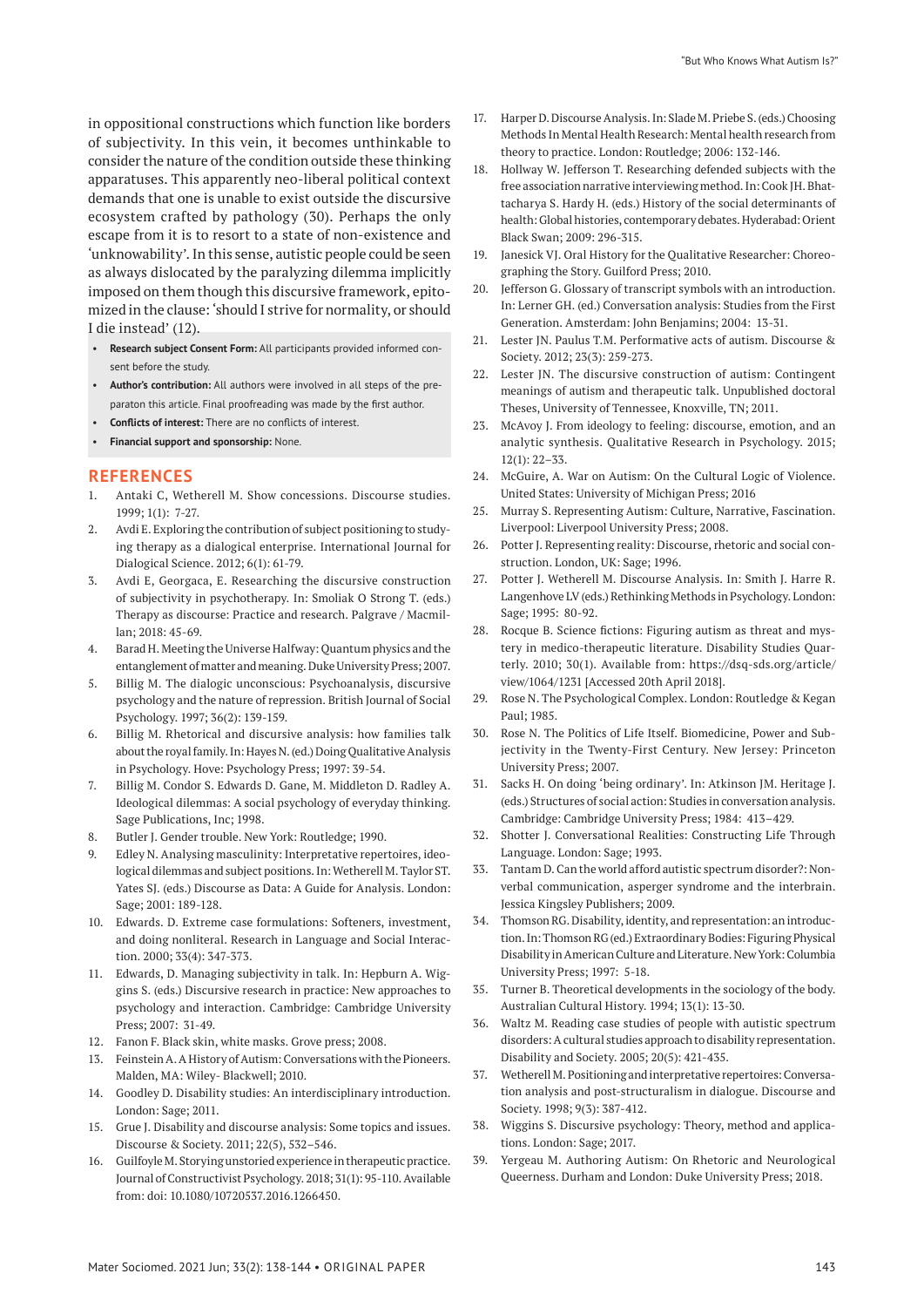in oppositional constructions which function like borders of subjectivity. In this vein, it becomes unthinkable to consider the nature of the condition outside these thinking apparatuses. This apparently neo-liberal political context demands that one is unable to exist outside the discursive ecosystem crafted by pathology (30). Perhaps the only escape from it is to resort to a state of non-existence and 'unknowability'. In this sense, autistic people could be seen as always dislocated by the paralyzing dilemma implicitly imposed on them though this discursive framework, epitomized in the clause: 'should I strive for normality, or should I die instead' (12).

- **Research subject Consent Form:** All participants provided informed consent before the study.
- **Author's contribution:** All authors were involved in all steps of the preparaton this article. Final proofreading was made by the first author.
- **Conflicts of interest:** There are no conflicts of interest.
- **Financial support and sponsorship:** None.

#### **REFERENCES**

- 1. Antaki C, Wetherell M. Show concessions. Discourse studies. 1999; 1(1): 7-27.
- 2. Avdi E. Exploring the contribution of subject positioning to studying therapy as a dialogical enterprise. International Journal for Dialogical Science. 2012; 6(1): 61-79.
- 3. Avdi E, Georgaca, E. Researching the discursive construction of subjectivity in psychotherapy. In: Smoliak O Strong T. (eds.) Therapy as discourse: Practice and research. Palgrave / Macmillan; 2018: 45-69.
- 4. Barad H. Meeting the Universe Halfway: Quantum physics and the entanglement of matter and meaning. Duke University Press; 2007.
- 5. Billig M. The dialogic unconscious: Psychoanalysis, discursive psychology and the nature of repression. British Journal of Social Psychology. 1997; 36(2): 139-159.
- 6. Billig M. Rhetorical and discursive analysis: how families talk about the royal family. In: Hayes N. (ed.) Doing Qualitative Analysis in Psychology. Hove: Psychology Press; 1997: 39-54.
- 7. Billig M. Condor S. Edwards D. Gane, M. Middleton D. Radley A. Ideological dilemmas: A social psychology of everyday thinking. Sage Publications, Inc; 1998.
- 8. Butler J. Gender trouble. New York: Routledge; 1990.
- 9. Edley N. Analysing masculinity: Interpretative repertoires, ideological dilemmas and subject positions. In: Wetherell M. Taylor ST. Yates SJ. (eds.) Discourse as Data: A Guide for Analysis. London: Sage; 2001: 189-128.
- 10. Edwards. D. Extreme case formulations: Softeners, investment, and doing nonliteral. Research in Language and Social Interaction. 2000; 33(4): 347-373.
- 11. Edwards, D. Managing subjectivity in talk. In: Hepburn A. Wiggins S. (eds.) Discursive research in practice: New approaches to psychology and interaction. Cambridge: Cambridge University Press; 2007: 31-49.
- 12. Fanon F. Black skin, white masks. Grove press; 2008.
- 13. Feinstein A. A History of Autism: Conversations with the Pioneers. Malden, MA: Wiley- Blackwell; 2010.
- 14. Goodley D. Disability studies: An interdisciplinary introduction. London: Sage; 2011.
- 15. Grue J. Disability and discourse analysis: Some topics and issues. Discourse & Society. 2011; 22(5), 532–546.
- 16. Guilfoyle M. Storying unstoried experience in therapeutic practice. Journal of Constructivist Psychology. 2018; 31(1): 95-110. Available from: doi: 10.1080/10720537.2016.1266450.
- 17. Harper D. Discourse Analysis. In: Slade M. Priebe S. (eds.) Choosing Methods In Mental Health Research: Mental health research from theory to practice. London: Routledge; 2006: 132-146.
- 18. Hollway W. Jefferson T. Researching defended subjects with the free association narrative interviewing method. In: Cook JH. Bhattacharya S. Hardy H. (eds.) History of the social determinants of health: Global histories, contemporary debates. Hyderabad: Orient Black Swan; 2009: 296-315.
- 19. Janesick VJ. Oral History for the Qualitative Researcher: Choreographing the Story. Guilford Press; 2010.
- 20. Jefferson G. Glossary of transcript symbols with an introduction. In: Lerner GH. (ed.) Conversation analysis: Studies from the First Generation. Amsterdam: John Benjamins; 2004: 13-31.
- 21. Lester JN. Paulus T.M. Performative acts of autism. Discourse & Society. 2012; 23(3): 259-273.
- 22. Lester JN. The discursive construction of autism: Contingent meanings of autism and therapeutic talk. Unpublished doctoral Theses, University of Tennessee, Knoxville, TN; 2011.
- 23. McAvoy J. From ideology to feeling: discourse, emotion, and an analytic synthesis. Qualitative Research in Psychology. 2015; 12(1): 22–33.
- 24. McGuire, A. War on Autism: On the Cultural Logic of Violence. United States: University of Michigan Press; 2016
- 25. Murray S. Representing Autism: Culture, Narrative, Fascination. Liverpool: Liverpool University Press; 2008.
- 26. Potter J. Representing reality: Discourse, rhetoric and social construction. London, UK: Sage; 1996.
- 27. Potter J. Wetherell M. Discourse Analysis. In: Smith J. Harre R. Langenhove LV (eds.) Rethinking Methods in Psychology. London: Sage; 1995: 80-92.
- 28. Rocque B. Science fictions: Figuring autism as threat and mystery in medico-therapeutic literature. Disability Studies Quarterly. 2010; 30(1). Available from: https://dsq-sds.org/article/ view/1064/1231 [Accessed 20th April 2018].
- 29. Rose N. The Psychological Complex. London: Routledge & Kegan Paul; 1985.
- 30. Rose N. The Politics of Life Itself. Biomedicine, Power and Subjectivity in the Twenty-First Century. New Jersey: Princeton University Press; 2007.
- 31. Sacks H. On doing 'being ordinary'. In: Atkinson JM. Heritage J. (eds.) Structures of social action: Studies in conversation analysis. Cambridge: Cambridge University Press; 1984: 413–429.
- 32. Shotter J. Conversational Realities: Constructing Life Through Language. London: Sage; 1993.
- 33. Tantam D. Can the world afford autistic spectrum disorder?: Nonverbal communication, asperger syndrome and the interbrain. Jessica Kingsley Publishers; 2009.
- 34. Thomson RG. Disability, identity, and representation: an introduction. In: Thomson RG (ed.) Extraordinary Bodies: Figuring Physical Disability in American Culture and Literature. New York: Columbia University Press; 1997: 5-18.
- 35. Turner B. Theoretical developments in the sociology of the body. Australian Cultural History. 1994; 13(1): 13-30.
- 36. Waltz M. Reading case studies of people with autistic spectrum disorders: A cultural studies approach to disability representation. Disability and Society. 2005; 20(5): 421-435.
- 37. Wetherell M. Positioning and interpretative repertoires: Conversation analysis and post-structuralism in dialogue. Discourse and Society. 1998; 9(3): 387-412.
- 38. Wiggins S. Discursive psychology: Theory, method and applications. London: Sage; 2017.
- 39. Yergeau M. Authoring Autism: On Rhetoric and Neurological Queerness. Durham and London: Duke University Press; 2018.